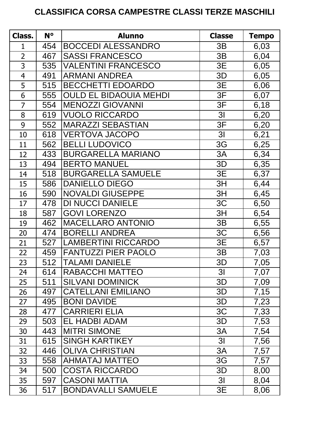## **CLASSIFICA CORSA CAMPESTRE CLASSI TERZE MASCHILI**

| Class.         | $N^{\circ}$ | <b>Alunno</b>                 | <b>Classe</b>  | Tempo |
|----------------|-------------|-------------------------------|----------------|-------|
| 1              | 454         | <b>BOCCEDI ALESSANDRO</b>     | 3B             | 6,03  |
| $\overline{2}$ | 467         | <b>SASSI FRANCESCO</b>        | 3B             | 6,04  |
| 3              | 535         | <b>VALENTINI FRANCESCO</b>    | 3E             | 6,05  |
| $\overline{4}$ | 491         | <b>ARMANI ANDREA</b>          | 3D             | 6,05  |
| 5              | 515         | <b>BECCHETTI EDOARDO</b>      | 3E             | 6,06  |
| 6              | 555         | <b>OULD EL BIDAOUIA MEHDI</b> | 3F             | 6,07  |
| $\overline{7}$ | 554         | <b>MENOZZI GIOVANNI</b>       | 3F             | 6,18  |
| 8              | 619         | <b>VUOLO RICCARDO</b>         | 3 <sub>l</sub> | 6,20  |
| 9              | 552         | <b>MARAZZI SEBASTIAN</b>      | 3F             | 6,20  |
| 10             | 618         | <b>VERTOVA JACOPO</b>         | 3 <sub>l</sub> | 6,21  |
| 11             | 562         | <b>BELLI LUDOVICO</b>         | 3G             | 6,25  |
| 12             | 433         | <b>BURGARELLA MARIANO</b>     | 3A             | 6,34  |
| 13             | 494         | <b>BERTO MANUEL</b>           | 3D             | 6,35  |
| 14             | 518         | <b>BURGARELLA SAMUELE</b>     | 3E             | 6,37  |
| 15             | 586         | <b>DANIELLO DIEGO</b>         | 3H             | 6,44  |
| 16             | 590         | <b>NOVALDI GIUSEPPE</b>       | 3H             | 6,45  |
| 17             | 478         | <b>DI NUCCI DANIELE</b>       | 3C             | 6,50  |
| 18             | 587         | <b>GOVI LORENZO</b>           | 3H             | 6,54  |
| 19             | 462         | <b>MACELLARO ANTONIO</b>      | 3B             | 6,55  |
| 20             | 474         | <b>BORELLI ANDREA</b>         | 3C             | 6,56  |
| 21             | 527         | <b>LAMBERTINI RICCARDO</b>    | 3E             | 6,57  |
| 22             | 459         | <b>FANTUZZI PIER PAOLO</b>    | 3B             | 7,03  |
| 23             | 512         | <b>TALAMI DANIELE</b>         | 3D             | 7,05  |
| 24             | 614         | <b>RABACCHI MATTEO</b>        | 3 <sub>l</sub> | 7,07  |
| 25             | 511         | <b>SILVANI DOMINICK</b>       | 3D             | 7,09  |
| 26             | 497         | <b>CATELLANI EMILIANO</b>     | 3D             | 7,15  |
| 27             | 495         | <b>BONI DAVIDE</b>            | 3D             | 7,23  |
| 28             | 477         | <b>CARRIERI ELIA</b>          | 3C             | 7,33  |
| 29             | 503         | <b>EL HADBI ADAM</b>          | 3D             | 7,53  |
| 30             | 443         | <b>MITRI SIMONE</b>           | 3A             | 7,54  |
| 31             | 615         | <b>SINGH KARTIKEY</b>         | 3 <sub>l</sub> | 7,56  |
| 32             | 446         | <b>OLIVA CHRISTIAN</b>        | 3A             | 7,57  |
| 33             | 558         | <b>AHMATAJ MATTEO</b>         | 3G             | 7,57  |
| 34             | 500         | <b>COSTA RICCARDO</b>         | 3D             | 8,00  |
| 35             | 597         | <b>CASONI MATTIA</b>          | 3 <sub>l</sub> | 8,04  |
| 36             | 517         | <b>BONDAVALLI SAMUELE</b>     | 3E             | 8,06  |